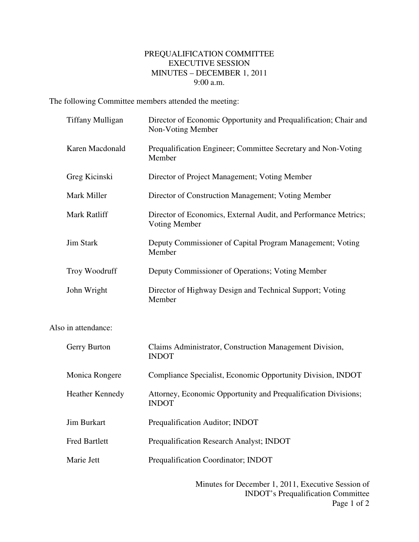## PREQUALIFICATION COMMITTEE EXECUTIVE SESSION MINUTES – DECEMBER 1, 2011 9:00 a.m.

The following Committee members attended the meeting:

| <b>Tiffany Mulligan</b> | Director of Economic Opportunity and Prequalification; Chair and<br>Non-Voting Member |
|-------------------------|---------------------------------------------------------------------------------------|
| Karen Macdonald         | Prequalification Engineer; Committee Secretary and Non-Voting<br>Member               |
| Greg Kicinski           | Director of Project Management; Voting Member                                         |
| Mark Miller             | Director of Construction Management; Voting Member                                    |
| Mark Ratliff            | Director of Economics, External Audit, and Performance Metrics;<br>Voting Member      |
| <b>Jim Stark</b>        | Deputy Commissioner of Capital Program Management; Voting<br>Member                   |
| Troy Woodruff           | Deputy Commissioner of Operations; Voting Member                                      |
| John Wright             | Director of Highway Design and Technical Support; Voting<br>Member                    |
| Also in attendance:     |                                                                                       |
| Gerry Burton            | Claims Administrator, Construction Management Division,<br><b>INDOT</b>               |
| Monica Rongere          | Compliance Specialist, Economic Opportunity Division, INDOT                           |
| <b>Heather Kennedy</b>  | Attorney, Economic Opportunity and Prequalification Divisions;<br><b>INDOT</b>        |
| <b>Jim Burkart</b>      | Prequalification Auditor; INDOT                                                       |

Fred Bartlett Prequalification Research Analyst; INDOT

Marie Jett Prequalification Coordinator; INDOT

Minutes for December 1, 2011, Executive Session of INDOT's Prequalification Committee Page 1 of 2